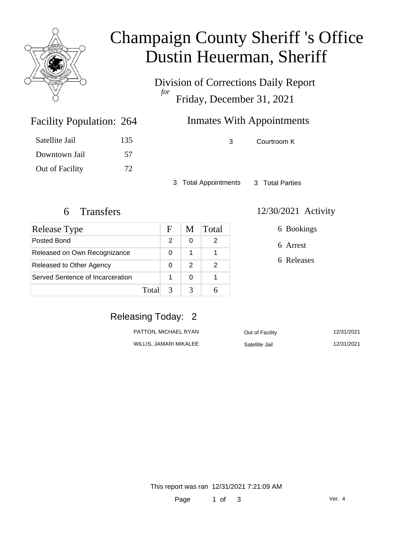

### Champaign County Sheriff 's Office Dustin Heuerman, Sheriff

Division of Corrections Daily Report *for* Friday, December 31, 2021

### Inmates With Appointments

| Satellite Jail | 135 |
|----------------|-----|
| Downtown Jail  | 57  |

Out of Facility 72

Facility Population: 264

3 Courtroom K

3 Total Appointments 3 Total Parties

| Release Type                     |       | н | M | Total |
|----------------------------------|-------|---|---|-------|
| Posted Bond                      |       | 2 | O |       |
| Released on Own Recognizance     |       | 0 |   |       |
| Released to Other Agency         |       | O | 2 |       |
| Served Sentence of Incarceration |       |   | O |       |
|                                  | Total |   |   |       |

#### 6 Transfers 12/30/2021 Activity

6 Bookings

6 Arrest

6 Releases

### Releasing Today: 2

| PATTON, MICHAEL RYAN   | Out of Facility | 12/31/2021 |
|------------------------|-----------------|------------|
| WILLIS, JAMARI MIKALEE | Satellite Jail  | 12/31/2021 |

This report was ran 12/31/2021 7:21:09 AM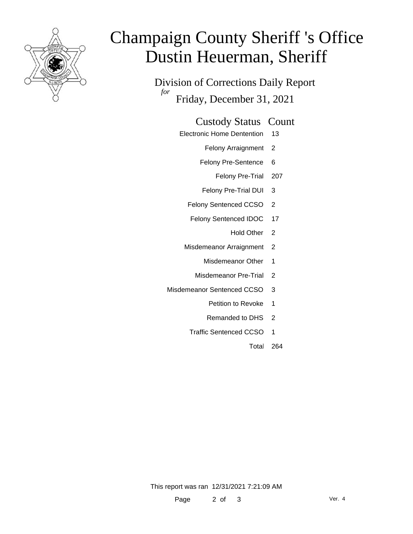

# Champaign County Sheriff 's Office Dustin Heuerman, Sheriff

Division of Corrections Daily Report *for* Friday, December 31, 2021

#### Custody Status Count

- Electronic Home Dentention 13
	- Felony Arraignment 2
	- Felony Pre-Sentence 6
		- Felony Pre-Trial 207
	- Felony Pre-Trial DUI 3
	- Felony Sentenced CCSO 2
	- Felony Sentenced IDOC 17
		- Hold Other 2
	- Misdemeanor Arraignment 2
		- Misdemeanor Other 1
		- Misdemeanor Pre-Trial 2
- Misdemeanor Sentenced CCSO 3
	- Petition to Revoke 1
	- Remanded to DHS 2
	- Traffic Sentenced CCSO 1
		- Total 264

This report was ran 12/31/2021 7:21:09 AM